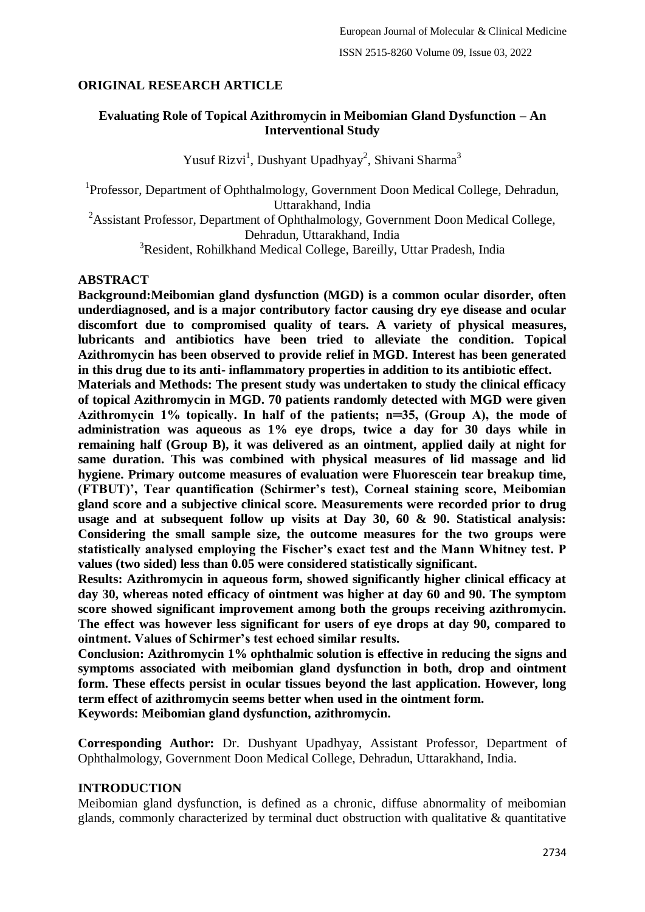# **ORIGINAL RESEARCH ARTICLE**

## **Evaluating Role of Topical Azithromycin in Meibomian Gland Dysfunction – An Interventional Study**

Yusuf Rizvi<sup>1</sup>, Dushyant Upadhyay<sup>2</sup>, Shivani Sharma<sup>3</sup>

<sup>1</sup>Professor, Department of Ophthalmology, Government Doon Medical College, Dehradun, Uttarakhand, India <sup>2</sup>Assistant Professor, Department of Ophthalmology, Government Doon Medical College, Dehradun, Uttarakhand, India

<sup>3</sup>Resident, Rohilkhand Medical College, Bareilly, Uttar Pradesh, India

### **ABSTRACT**

**Background:Meibomian gland dysfunction (MGD) is a common ocular disorder, often underdiagnosed, and is a major contributory factor causing dry eye disease and ocular discomfort due to compromised quality of tears. A variety of physical measures, lubricants and antibiotics have been tried to alleviate the condition. Topical Azithromycin has been observed to provide relief in MGD. Interest has been generated in this drug due to its anti- inflammatory properties in addition to its antibiotic effect.**

**Materials and Methods: The present study was undertaken to study the clinical efficacy of topical Azithromycin in MGD. 70 patients randomly detected with MGD were given Azithromycin 1% topically. In half of the patients; n═35, (Group A), the mode of administration was aqueous as 1% eye drops, twice a day for 30 days while in remaining half (Group B), it was delivered as an ointment, applied daily at night for same duration. This was combined with physical measures of lid massage and lid hygiene. Primary outcome measures of evaluation were Fluorescein tear breakup time, (FTBUT)', Tear quantification (Schirmer's test), Corneal staining score, Meibomian gland score and a subjective clinical score. Measurements were recorded prior to drug usage and at subsequent follow up visits at Day 30, 60 & 90. Statistical analysis: Considering the small sample size, the outcome measures for the two groups were statistically analysed employing the Fischer's exact test and the Mann Whitney test. P values (two sided) less than 0.05 were considered statistically significant.**

**Results: Azithromycin in aqueous form, showed significantly higher clinical efficacy at day 30, whereas noted efficacy of ointment was higher at day 60 and 90. The symptom score showed significant improvement among both the groups receiving azithromycin. The effect was however less significant for users of eye drops at day 90, compared to ointment. Values of Schirmer's test echoed similar results.**

**Conclusion: Azithromycin 1% ophthalmic solution is effective in reducing the signs and symptoms associated with meibomian gland dysfunction in both, drop and ointment form. These effects persist in ocular tissues beyond the last application. However, long term effect of azithromycin seems better when used in the ointment form. Keywords: Meibomian gland dysfunction, azithromycin.**

**Corresponding Author:** Dr. Dushyant Upadhyay, Assistant Professor, Department of Ophthalmology, Government Doon Medical College, Dehradun, Uttarakhand, India.

## **INTRODUCTION**

Meibomian gland dysfunction, is defined as a chronic, diffuse abnormality of meibomian glands, commonly characterized by terminal duct obstruction with qualitative  $\&$  quantitative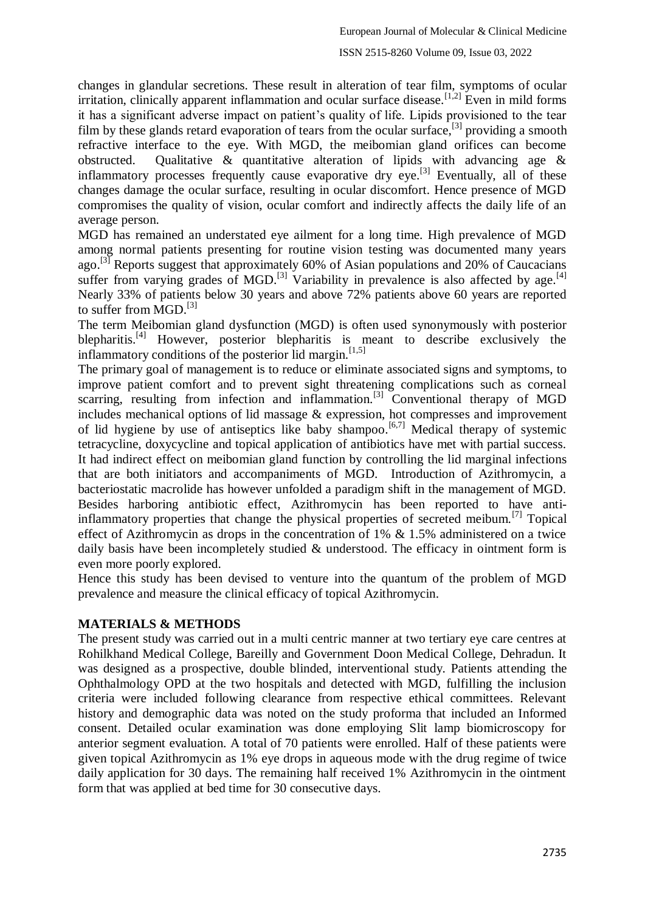changes in glandular secretions. These result in alteration of tear film, symptoms of ocular irritation, clinically apparent inflammation and ocular surface disease.<sup>[1,2]</sup> Even in mild forms it has a significant adverse impact on patient's quality of life. Lipids provisioned to the tear film by these glands retard evaporation of tears from the ocular surface,<sup>[3]</sup> providing a smooth refractive interface to the eye. With MGD, the meibomian gland orifices can become obstructed. Qualitative & quantitative alteration of lipids with advancing age & inflammatory processes frequently cause evaporative dry eye.<sup>[3]</sup> Eventually, all of these changes damage the ocular surface, resulting in ocular discomfort. Hence presence of MGD compromises the quality of vision, ocular comfort and indirectly affects the daily life of an average person.

MGD has remained an understated eye ailment for a long time. High prevalence of MGD among normal patients presenting for routine vision testing was documented many years ago.<sup>[3]</sup> Reports suggest that approximately 60% of Asian populations and 20% of Caucacians suffer from varying grades of MGD.<sup>[3]</sup> Variability in prevalence is also affected by age.<sup>[4]</sup> Nearly 33% of patients below 30 years and above 72% patients above 60 years are reported to suffer from MGD.<sup>[3]</sup>

The term Meibomian gland dysfunction (MGD) is often used synonymously with posterior blepharitis.<sup>[4]</sup> However, posterior blepharitis is meant to describe exclusively the inflammatory conditions of the posterior lid margin.<sup>[1,5]</sup>

The primary goal of management is to reduce or eliminate associated signs and symptoms, to improve patient comfort and to prevent sight threatening complications such as corneal scarring, resulting from infection and inflammation.<sup>[3]</sup> Conventional therapy of MGD includes mechanical options of lid massage & expression, hot compresses and improvement of lid hygiene by use of antiseptics like baby shampoo.<sup>[6,7]</sup> Medical therapy of systemic tetracycline, doxycycline and topical application of antibiotics have met with partial success. It had indirect effect on meibomian gland function by controlling the lid marginal infections that are both initiators and accompaniments of MGD. Introduction of Azithromycin, a bacteriostatic macrolide has however unfolded a paradigm shift in the management of MGD. Besides harboring antibiotic effect, Azithromycin has been reported to have antiinflammatory properties that change the physical properties of secreted meibum.<sup>[7]</sup> Topical effect of Azithromycin as drops in the concentration of 1% & 1.5% administered on a twice daily basis have been incompletely studied & understood. The efficacy in ointment form is even more poorly explored.

Hence this study has been devised to venture into the quantum of the problem of MGD prevalence and measure the clinical efficacy of topical Azithromycin.

## **MATERIALS & METHODS**

The present study was carried out in a multi centric manner at two tertiary eye care centres at Rohilkhand Medical College, Bareilly and Government Doon Medical College, Dehradun. It was designed as a prospective, double blinded, interventional study. Patients attending the Ophthalmology OPD at the two hospitals and detected with MGD, fulfilling the inclusion criteria were included following clearance from respective ethical committees. Relevant history and demographic data was noted on the study proforma that included an Informed consent. Detailed ocular examination was done employing Slit lamp biomicroscopy for anterior segment evaluation. A total of 70 patients were enrolled. Half of these patients were given topical Azithromycin as 1% eye drops in aqueous mode with the drug regime of twice daily application for 30 days. The remaining half received 1% Azithromycin in the ointment form that was applied at bed time for 30 consecutive days.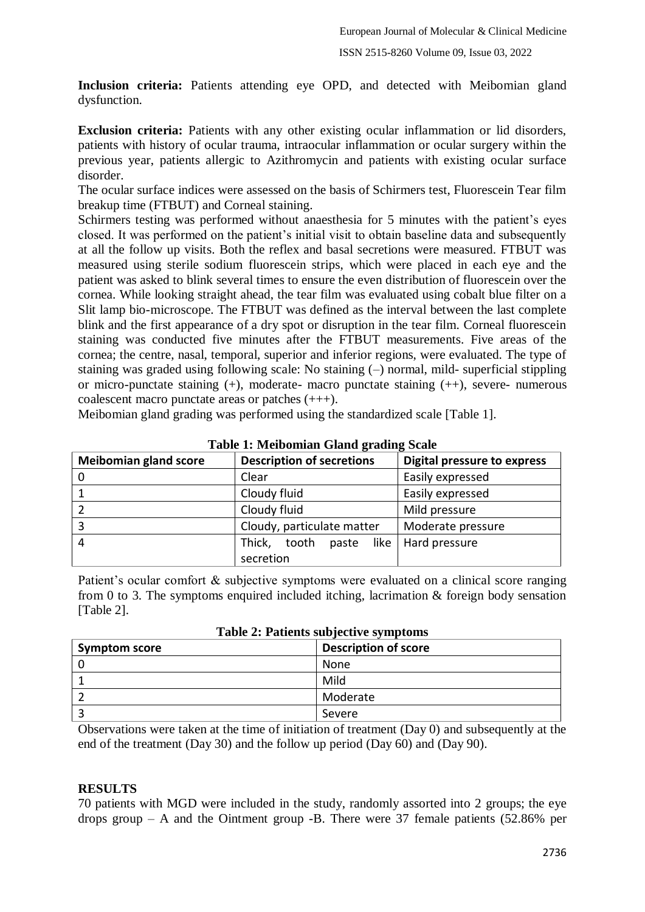**Inclusion criteria:** Patients attending eye OPD, and detected with Meibomian gland dysfunction.

**Exclusion criteria:** Patients with any other existing ocular inflammation or lid disorders, patients with history of ocular trauma, intraocular inflammation or ocular surgery within the previous year, patients allergic to Azithromycin and patients with existing ocular surface disorder.

The ocular surface indices were assessed on the basis of Schirmers test, Fluorescein Tear film breakup time (FTBUT) and Corneal staining.

Schirmers testing was performed without anaesthesia for 5 minutes with the patient's eyes closed. It was performed on the patient's initial visit to obtain baseline data and subsequently at all the follow up visits. Both the reflex and basal secretions were measured. FTBUT was measured using sterile sodium fluorescein strips, which were placed in each eye and the patient was asked to blink several times to ensure the even distribution of fluorescein over the cornea. While looking straight ahead, the tear film was evaluated using cobalt blue filter on a Slit lamp bio-microscope. The FTBUT was defined as the interval between the last complete blink and the first appearance of a dry spot or disruption in the tear film. Corneal fluorescein staining was conducted five minutes after the FTBUT measurements. Five areas of the cornea; the centre, nasal, temporal, superior and inferior regions, were evaluated. The type of staining was graded using following scale: No staining (–) normal, mild- superficial stippling or micro-punctate staining (+), moderate- macro punctate staining (++), severe- numerous coalescent macro punctate areas or patches (+++).

Meibomian gland grading was performed using the standardized scale [Table 1].

| <b>Meibomian gland score</b> | <b>Description of secretions</b> | <b>Digital pressure to express</b> |
|------------------------------|----------------------------------|------------------------------------|
| 0                            | Clear                            | Easily expressed                   |
|                              | Cloudy fluid                     | Easily expressed                   |
|                              | Cloudy fluid                     | Mild pressure                      |
|                              | Cloudy, particulate matter       | Moderate pressure                  |
| 4                            | Thick,<br>tooth paste            | like   Hard pressure               |
|                              | secretion                        |                                    |

**Table 1: Meibomian Gland grading Scale**

Patient's ocular comfort & subjective symptoms were evaluated on a clinical score ranging from 0 to 3. The symptoms enquired included itching, lacrimation  $\&$  foreign body sensation [Table 2].

| <b>Symptom score</b> | <b>Description of score</b> |
|----------------------|-----------------------------|
|                      | None                        |
|                      | Mild                        |
|                      | Moderate                    |
|                      | Severe                      |

**Table 2: Patients subjective symptoms**

Observations were taken at the time of initiation of treatment (Day 0) and subsequently at the end of the treatment (Day 30) and the follow up period (Day 60) and (Day 90).

#### **RESULTS**

70 patients with MGD were included in the study, randomly assorted into 2 groups; the eye drops group – A and the Ointment group -B. There were 37 female patients (52.86% per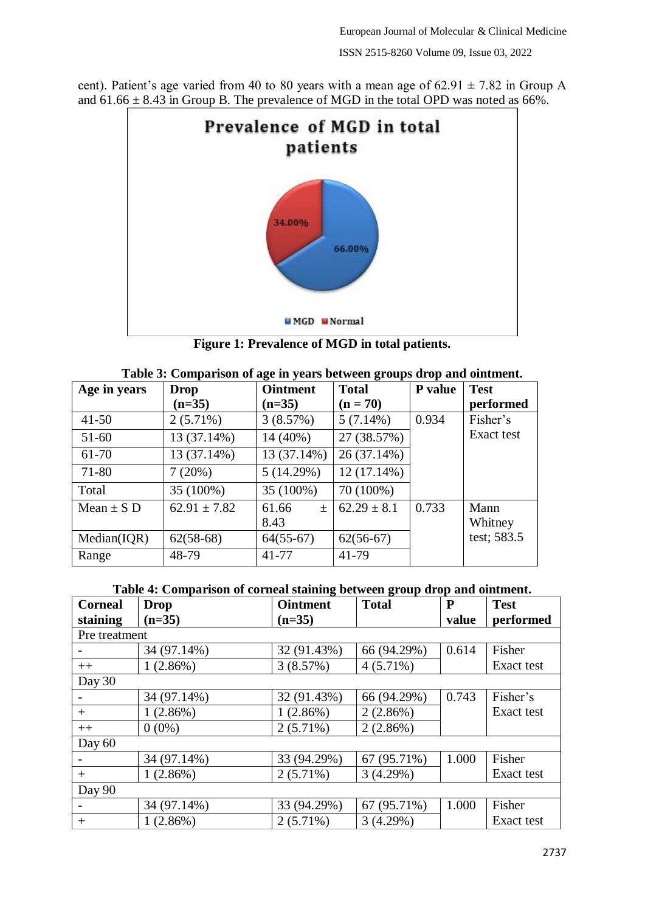cent). Patient's age varied from 40 to 80 years with a mean age of  $62.91 \pm 7.82$  in Group A and  $61.66 \pm 8.43$  in Group B. The prevalence of MGD in the total OPD was noted as  $66\%$ .



**Figure 1: Prevalence of MGD in total patients.**

| Table 3: Comparison of age in years between groups drop and ointment. |                  |                 |                 |                |             |
|-----------------------------------------------------------------------|------------------|-----------------|-----------------|----------------|-------------|
| Age in years                                                          | <b>Drop</b>      | <b>Ointment</b> | <b>Total</b>    | <b>P</b> value | <b>Test</b> |
|                                                                       | $(n=35)$         | $(n=35)$        | $(n = 70)$      |                | performed   |
| $41 - 50$                                                             | $2(5.71\%)$      | 3(8.57%)        | 5(7.14%)        | 0.934          | Fisher's    |
| $51-60$                                                               | 13 (37.14%)      | $14(40\%)$      | 27 (38.57%)     |                | Exact test  |
| 61-70                                                                 | 13 (37.14%)      | 13 (37.14%)     | 26 (37.14%)     |                |             |
| 71-80                                                                 | 7(20%)           | 5(14.29%)       | $12(17.14\%)$   |                |             |
| Total                                                                 | 35 (100%)        | 35 (100%)       | 70 (100%)       |                |             |
| Mean $\pm$ S D                                                        | $62.91 \pm 7.82$ | 61.66<br>$\pm$  | $62.29 \pm 8.1$ | 0.733          | Mann        |
|                                                                       |                  | 8.43            |                 |                | Whitney     |
| Median(IOR)                                                           | $62(58-68)$      | $64(55-67)$     | $62(56-67)$     |                | test; 583.5 |
| Range                                                                 | 48-79            | 41-77           | 41-79           |                |             |

|  | Table 4: Comparison of corneal staining between group drop and ointment. |  |
|--|--------------------------------------------------------------------------|--|
|  |                                                                          |  |

| <b>Corneal</b> | <b>Drop</b> | <b>Ointment</b> | <b>Total</b> | ${\bf P}$ | <b>Test</b> |
|----------------|-------------|-----------------|--------------|-----------|-------------|
| staining       | $(n=35)$    | $(n=35)$        |              | value     | performed   |
| Pre treatment  |             |                 |              |           |             |
|                | 34 (97.14%) | 32 (91.43%)     | 66 (94.29%)  | 0.614     | Fisher      |
| $++$           | 1(2.86%)    | 3(8.57%)        | $4(5.71\%)$  |           | Exact test  |
| Day 30         |             |                 |              |           |             |
|                | 34 (97.14%) | 32 (91.43%)     | 66 (94.29%)  | 0.743     | Fisher's    |
| $^{+}$         | 1(2.86%)    | 1(2.86%)        | 2(2.86%)     |           | Exact test  |
| $++$           | $0(0\%)$    | $2(5.71\%)$     | $2(2.86\%)$  |           |             |
| Day 60         |             |                 |              |           |             |
|                | 34 (97.14%) | 33 (94.29%)     | 67 (95.71%)  | 1.000     | Fisher      |
| $^{+}$         | 1(2.86%)    | $2(5.71\%)$     | 3(4.29%)     |           | Exact test  |
| Day 90         |             |                 |              |           |             |
|                | 34 (97.14%) | 33 (94.29%)     | 67 (95.71%)  | 1.000     | Fisher      |
| $^{+}$         | 1(2.86%)    | $2(5.71\%)$     | 3(4.29%)     |           | Exact test  |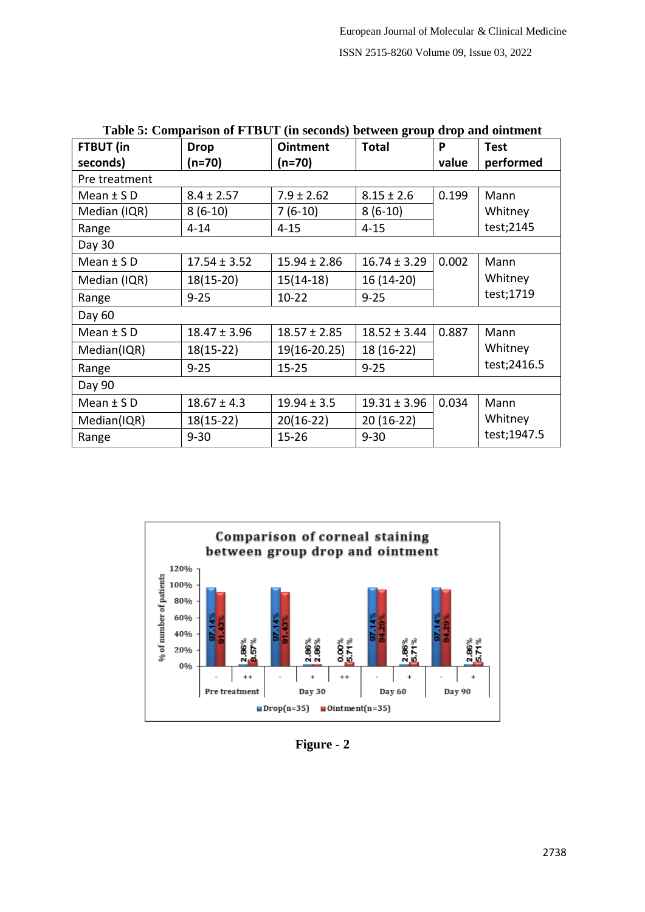| Table 5: Comparison of PTDUT (in seconds) between group drop and omunent |                  |                  |                  |       |              |
|--------------------------------------------------------------------------|------------------|------------------|------------------|-------|--------------|
| FTBUT (in                                                                | <b>Drop</b>      | <b>Ointment</b>  | <b>Total</b>     | P     | <b>Test</b>  |
| seconds)                                                                 | $(n=70)$         | $(n=70)$         |                  | value | performed    |
| Pre treatment                                                            |                  |                  |                  |       |              |
| Mean $\pm$ SD                                                            | $8.4 \pm 2.57$   | $7.9 \pm 2.62$   | $8.15 \pm 2.6$   | 0.199 | Mann         |
| Median (IQR)                                                             | $8(6-10)$        | $7(6-10)$        | $8(6-10)$        |       | Whitney      |
| Range                                                                    | $4 - 14$         | $4 - 15$         | $4 - 15$         |       | test; 2145   |
| Day 30                                                                   |                  |                  |                  |       |              |
| Mean $\pm$ SD                                                            | $17.54 \pm 3.52$ | $15.94 \pm 2.86$ | $16.74 \pm 3.29$ | 0.002 | Mann         |
| Median (IQR)                                                             | $18(15-20)$      | $15(14-18)$      | 16 (14-20)       |       | Whitney      |
| Range                                                                    | $9 - 25$         | $10 - 22$        | $9 - 25$         |       | test;1719    |
| Day 60                                                                   |                  |                  |                  |       |              |
| Mean $\pm$ SD                                                            | $18.47 \pm 3.96$ | $18.57 \pm 2.85$ | $18.52 \pm 3.44$ | 0.887 | Mann         |
| Median(IQR)                                                              | $18(15-22)$      | 19(16-20.25)     | 18 (16-22)       |       | Whitney      |
| Range                                                                    | $9 - 25$         | $15 - 25$        | $9 - 25$         |       | test; 2416.5 |
| Day 90                                                                   |                  |                  |                  |       |              |
| Mean $\pm$ SD                                                            | $18.67 \pm 4.3$  | $19.94 \pm 3.5$  | $19.31 \pm 3.96$ | 0.034 | Mann         |
| Median(IQR)                                                              | $18(15-22)$      | $20(16-22)$      | 20 (16-22)       |       | Whitney      |
| Range                                                                    | $9 - 30$         | $15 - 26$        | $9 - 30$         |       | test;1947.5  |



**Figure - 2**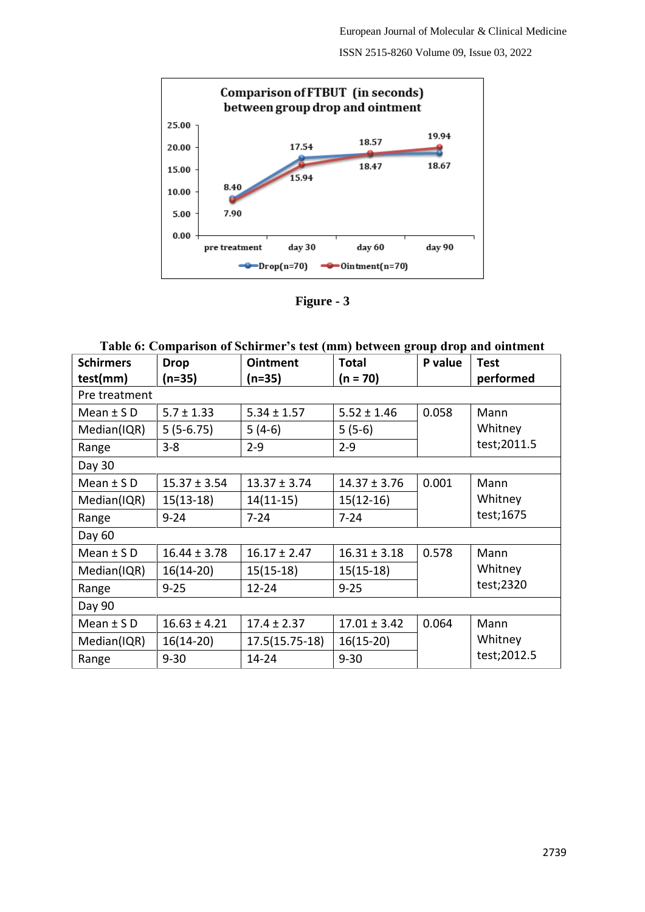ISSN 2515-8260 Volume 09, Issue 03, 2022



**Figure - 3**

| Table 6: Comparison of Schirmer's test (mm) between group drop and ointment |  |
|-----------------------------------------------------------------------------|--|
|                                                                             |  |

J.

| <b>Schirmers</b> | <b>Drop</b>      | <b>Ointment</b>  | <b>Total</b>     | P value | <b>Test</b>          |  |
|------------------|------------------|------------------|------------------|---------|----------------------|--|
| test(mm)         | $(n=35)$         | $(n=35)$         | $(n = 70)$       |         | performed            |  |
| Pre treatment    |                  |                  |                  |         |                      |  |
| Mean $\pm$ SD    | $5.7 \pm 1.33$   | $5.34 \pm 1.57$  | $5.52 \pm 1.46$  | 0.058   | Mann                 |  |
| Median(IQR)      | $5(5-6.75)$      | $5(4-6)$         | $5(5-6)$         |         | Whitney              |  |
| Range            | $3-8$            | $2 - 9$          | $2 - 9$          |         | test;2011.5          |  |
| Day 30           |                  |                  |                  |         |                      |  |
| Mean $\pm$ SD    | $15.37 \pm 3.54$ | $13.37 \pm 3.74$ | $14.37 \pm 3.76$ | 0.001   | Mann                 |  |
| Median(IQR)      | $15(13-18)$      | $14(11-15)$      | $15(12-16)$      |         | Whitney<br>test;1675 |  |
| Range            | $9 - 24$         | $7 - 24$         | $7 - 24$         |         |                      |  |
| Day 60           |                  |                  |                  |         |                      |  |
| Mean $\pm$ SD    | $16.44 \pm 3.78$ | $16.17 \pm 2.47$ | $16.31 \pm 3.18$ | 0.578   | Mann                 |  |
| Median(IQR)      | $16(14-20)$      | $15(15-18)$      | $15(15-18)$      |         | Whitney              |  |
| Range            | $9 - 25$         | $12 - 24$        | $9 - 25$         |         | test;2320            |  |
| Day 90           |                  |                  |                  |         |                      |  |
| Mean $\pm$ SD    | $16.63 \pm 4.21$ | $17.4 \pm 2.37$  | $17.01 \pm 3.42$ | 0.064   | Mann                 |  |
| Median(IQR)      | $16(14-20)$      | $17.5(15.75-18)$ | $16(15-20)$      |         | Whitney              |  |
| Range            | $9 - 30$         | 14-24            | $9 - 30$         |         | test; 2012.5         |  |
|                  |                  |                  |                  |         |                      |  |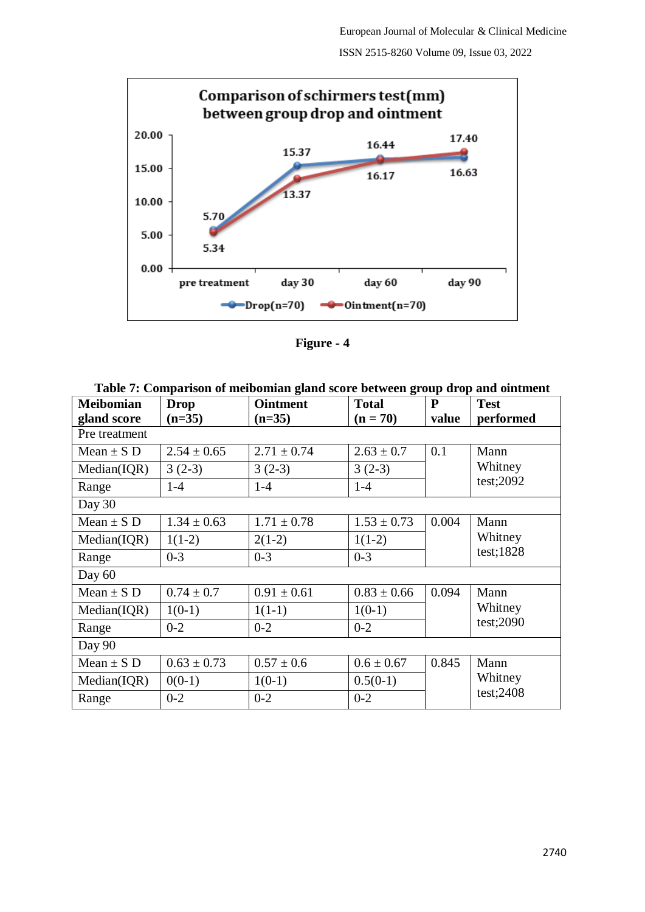ISSN 2515-8260 Volume 09, Issue 03, 2022



**Figure - 4**

| <b>Meibomian</b><br>gland score | <b>Drop</b><br>$(n=35)$ | <b>Ointment</b><br>$(n=35)$ | <b>Total</b><br>$(n = 70)$ | P<br>value | <b>Test</b><br>performed |  |
|---------------------------------|-------------------------|-----------------------------|----------------------------|------------|--------------------------|--|
| Pre treatment                   |                         |                             |                            |            |                          |  |
| Mean $\pm$ S D                  | $2.54 \pm 0.65$         | $2.71 \pm 0.74$             | $2.63 \pm 0.7$             | 0.1        | Mann                     |  |
| Median(IQR)                     | $3(2-3)$                | $3(2-3)$                    | $3(2-3)$                   |            | Whitney                  |  |
| Range                           | $1-4$                   | $1-4$                       | $1-4$                      |            | test;2092                |  |
| Day 30                          |                         |                             |                            |            |                          |  |
| Mean $\pm$ S D                  | $1.34 \pm 0.63$         | $1.71 \pm 0.78$             | $1.53 \pm 0.73$            | 0.004      | Mann                     |  |
| Median( IQR)                    | $1(1-2)$                | $2(1-2)$                    | $1(1-2)$                   |            | Whitney<br>test;1828     |  |
| Range                           | $0 - 3$                 | $0 - 3$                     | $0 - 3$                    |            |                          |  |
| Day 60                          |                         |                             |                            |            |                          |  |
| Mean $\pm$ S D                  | $0.74 \pm 0.7$          | $0.91 \pm 0.61$             | $0.83 \pm 0.66$            | 0.094      | Mann                     |  |
| Median(IQR)                     | $1(0-1)$                | $1(1-1)$                    | $1(0-1)$                   |            | Whitney                  |  |
| Range                           | $0 - 2$                 | $0 - 2$                     | $0 - 2$                    |            | test;2090                |  |
| Day 90                          |                         |                             |                            |            |                          |  |
| Mean $\pm$ S D                  | $0.63 \pm 0.73$         | $0.57 \pm 0.6$              | $0.6 \pm 0.67$             | 0.845      | Mann                     |  |
| Median( IQR)                    | $0(0-1)$                | $1(0-1)$                    | $0.5(0-1)$                 |            | Whitney                  |  |
| Range                           | $0 - 2$                 | $0 - 2$                     | $0 - 2$                    |            | test;2408                |  |

**Table 7: Comparison of meibomian gland score between group drop and ointment**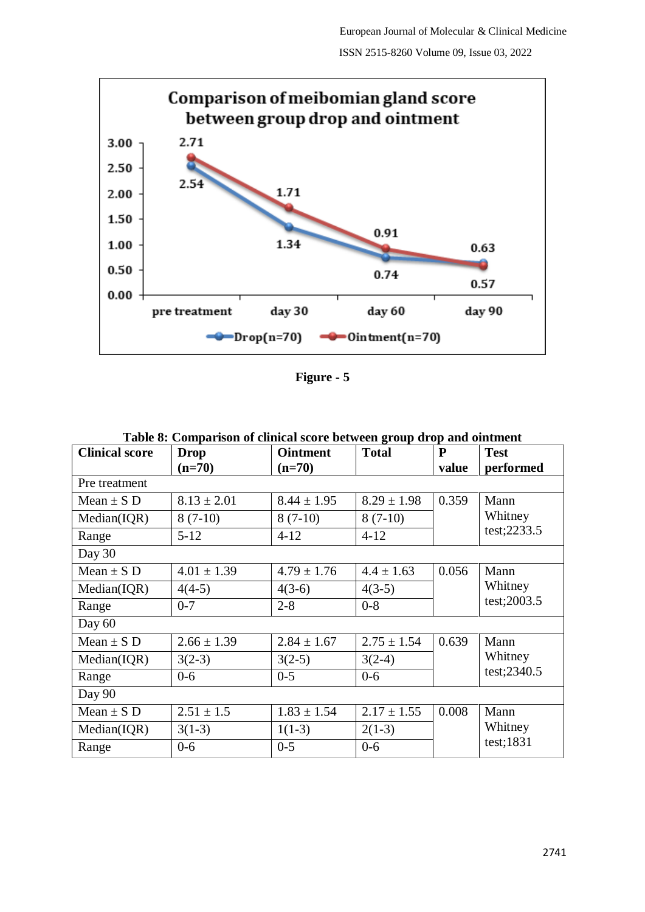

| ршт |  |
|-----|--|
|-----|--|

| Table 8: Comparison of clinical score between group drop and ointment |                 |                 |                 |       |                         |  |
|-----------------------------------------------------------------------|-----------------|-----------------|-----------------|-------|-------------------------|--|
| <b>Clinical score</b>                                                 | <b>Drop</b>     | <b>Ointment</b> | <b>Total</b>    | P     | <b>Test</b>             |  |
|                                                                       | $(n=70)$        | $(n=70)$        |                 | value | performed               |  |
| Pre treatment                                                         |                 |                 |                 |       |                         |  |
| Mean $\pm$ S D                                                        | $8.13 \pm 2.01$ | $8.44 \pm 1.95$ | $8.29 \pm 1.98$ | 0.359 | Mann                    |  |
| Median(IQR)                                                           | $8(7-10)$       | $8(7-10)$       | $8(7-10)$       |       | Whitney                 |  |
| Range                                                                 | $5 - 12$        | $4 - 12$        | $4 - 12$        |       | test; 2233.5            |  |
| Day 30                                                                |                 |                 |                 |       |                         |  |
| Mean $\pm$ S D                                                        | $4.01 \pm 1.39$ | $4.79 \pm 1.76$ | $4.4 \pm 1.63$  | 0.056 | Mann                    |  |
| Median(IQR)                                                           | $4(4-5)$        | $4(3-6)$        | $4(3-5)$        |       | Whitney<br>test; 2003.5 |  |
| Range                                                                 | $0 - 7$         | $2 - 8$         | $0 - 8$         |       |                         |  |
| Day $60$                                                              |                 |                 |                 |       |                         |  |
| Mean $\pm$ S D                                                        | $2.66 \pm 1.39$ | $2.84 \pm 1.67$ | $2.75 \pm 1.54$ | 0.639 | Mann                    |  |
| Median(IQR)                                                           | $3(2-3)$        | $3(2-5)$        | $3(2-4)$        |       | Whitney                 |  |
| Range                                                                 | $0 - 6$         | $0 - 5$         | $0 - 6$         |       | test; 2340.5            |  |
| Day 90                                                                |                 |                 |                 |       |                         |  |
| Mean $\pm$ S D                                                        | $2.51 \pm 1.5$  | $1.83 \pm 1.54$ | $2.17 \pm 1.55$ | 0.008 | Mann                    |  |
| Median(IQR)                                                           | $3(1-3)$        | $1(1-3)$        | $2(1-3)$        |       | Whitney                 |  |
| Range                                                                 | $0 - 6$         | $0 - 5$         | $0 - 6$         |       | test;1831               |  |

| Table 8: Comparison of clinical score between group drop and ointment |  |  |  |  |
|-----------------------------------------------------------------------|--|--|--|--|
|-----------------------------------------------------------------------|--|--|--|--|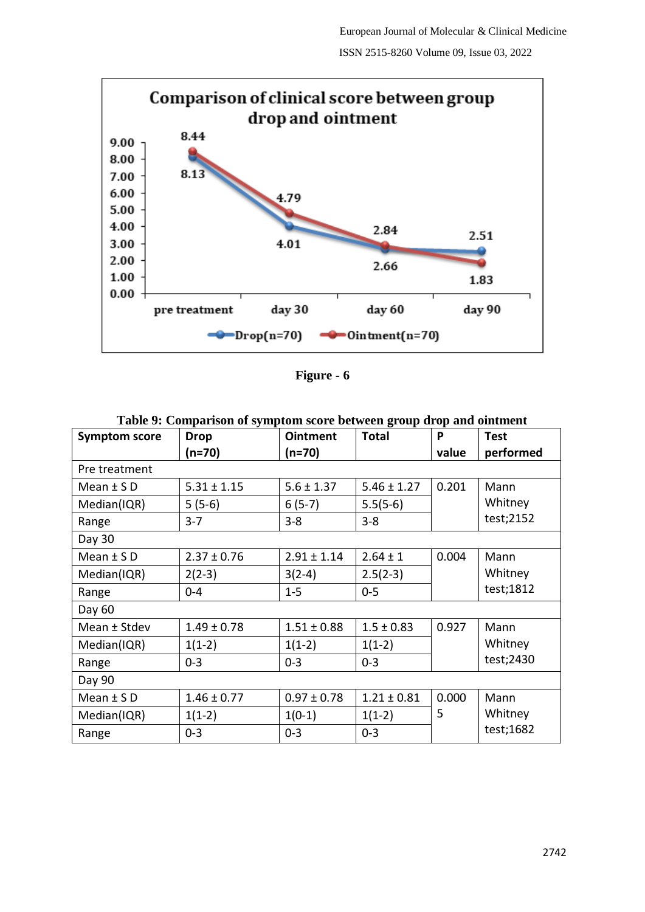

**Figure - 6**

|                      | Table 21 Comparison of symptom score between group arop and omenent |                 |                 |       |                 |  |  |  |  |
|----------------------|---------------------------------------------------------------------|-----------------|-----------------|-------|-----------------|--|--|--|--|
| <b>Symptom score</b> | <b>Drop</b>                                                         | <b>Ointment</b> | <b>Total</b>    | P     | <b>Test</b>     |  |  |  |  |
|                      | (n=70)                                                              | $(n=70)$        |                 | value | performed       |  |  |  |  |
| Pre treatment        |                                                                     |                 |                 |       |                 |  |  |  |  |
| Mean $\pm$ SD        | $5.31 \pm 1.15$                                                     | $5.6 \pm 1.37$  | $5.46 \pm 1.27$ | 0.201 | Mann<br>Whitney |  |  |  |  |
| Median(IQR)          | $5(5-6)$                                                            | $6(5-7)$        | $5.5(5-6)$      |       |                 |  |  |  |  |
| Range                | $3 - 7$                                                             | $3 - 8$         | $3 - 8$         |       | test;2152       |  |  |  |  |
| Day 30               |                                                                     |                 |                 |       |                 |  |  |  |  |
| Mean $\pm$ SD        | $2.37 \pm 0.76$                                                     | $2.91 \pm 1.14$ | $2.64 \pm 1$    | 0.004 | Mann<br>Whitney |  |  |  |  |
| Median(IQR)          | $2(2-3)$                                                            | $3(2-4)$        | $2.5(2-3)$      |       |                 |  |  |  |  |
| Range                | $0 - 4$                                                             | $1 - 5$         | $0 - 5$         |       | test;1812       |  |  |  |  |
| Day 60               |                                                                     |                 |                 |       |                 |  |  |  |  |
| Mean ± Stdev         | $1.49 \pm 0.78$                                                     | $1.51 \pm 0.88$ | $1.5 \pm 0.83$  | 0.927 | Mann<br>Whitney |  |  |  |  |
| Median(IQR)          | $1(1-2)$                                                            | $1(1-2)$        | $1(1-2)$        |       |                 |  |  |  |  |
| Range                | $0 - 3$                                                             | $0 - 3$         | $0 - 3$         |       | test; 2430      |  |  |  |  |
| Day 90               |                                                                     |                 |                 |       |                 |  |  |  |  |
| Mean $\pm$ SD        | $1.46 \pm 0.77$                                                     | $0.97 \pm 0.78$ | $1.21 \pm 0.81$ | 0.000 | Mann            |  |  |  |  |
| Median(IQR)          | $1(1-2)$                                                            | $1(0-1)$        | $1(1-2)$        | 5     | Whitney         |  |  |  |  |
| Range                | $0 - 3$                                                             | $0 - 3$         | $0 - 3$         |       | test;1682       |  |  |  |  |

**Table 9: Comparison of symptom score between group drop and ointment**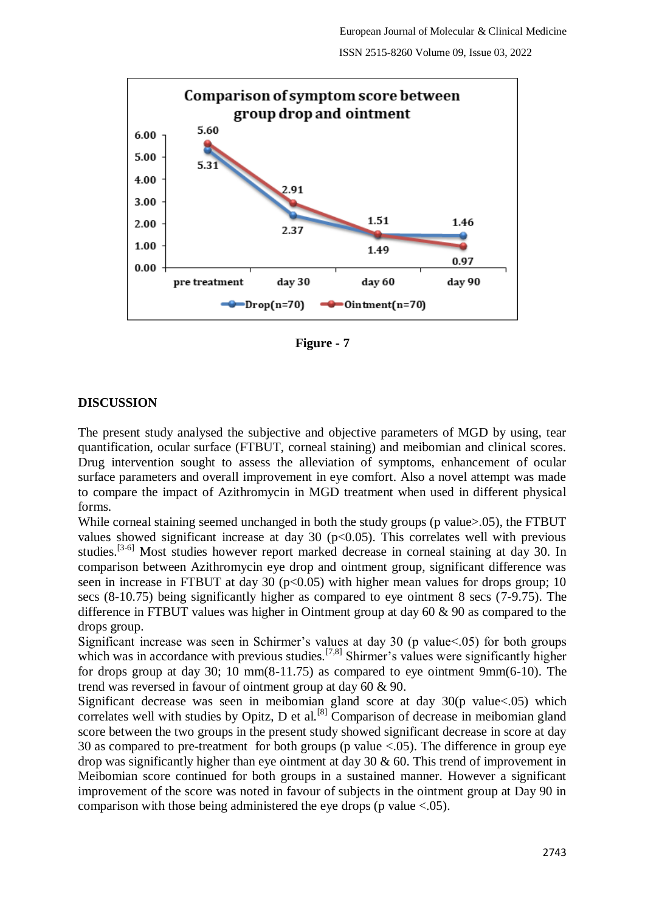

**Figure - 7**

### **DISCUSSION**

The present study analysed the subjective and objective parameters of MGD by using, tear quantification, ocular surface (FTBUT, corneal staining) and meibomian and clinical scores. Drug intervention sought to assess the alleviation of symptoms, enhancement of ocular surface parameters and overall improvement in eye comfort. Also a novel attempt was made to compare the impact of Azithromycin in MGD treatment when used in different physical forms.

While corneal staining seemed unchanged in both the study groups (p value > 0.05), the FTBUT values showed significant increase at day 30 ( $p<0.05$ ). This correlates well with previous studies.<sup>[3-6]</sup> Most studies however report marked decrease in corneal staining at day 30. In comparison between Azithromycin eye drop and ointment group, significant difference was seen in increase in FTBUT at day 30 ( $p<0.05$ ) with higher mean values for drops group; 10 secs (8-10.75) being significantly higher as compared to eye ointment 8 secs (7-9.75). The difference in FTBUT values was higher in Ointment group at day 60 & 90 as compared to the drops group.

Significant increase was seen in Schirmer's values at day 30 (p value<.05) for both groups which was in accordance with previous studies.<sup>[7,8]</sup> Shirmer's values were significantly higher for drops group at day 30; 10 mm(8-11.75) as compared to eye ointment  $9mm(6-10)$ . The trend was reversed in favour of ointment group at day 60 & 90.

Significant decrease was seen in meibomian gland score at day 30(p value<.05) which correlates well with studies by Opitz, D et al.<sup>[8]</sup> Comparison of decrease in meibomian gland score between the two groups in the present study showed significant decrease in score at day 30 as compared to pre-treatment for both groups (p value <.05). The difference in group eye drop was significantly higher than eye ointment at day 30 & 60. This trend of improvement in Meibomian score continued for both groups in a sustained manner. However a significant improvement of the score was noted in favour of subjects in the ointment group at Day 90 in comparison with those being administered the eye drops (p value  $< .05$ ).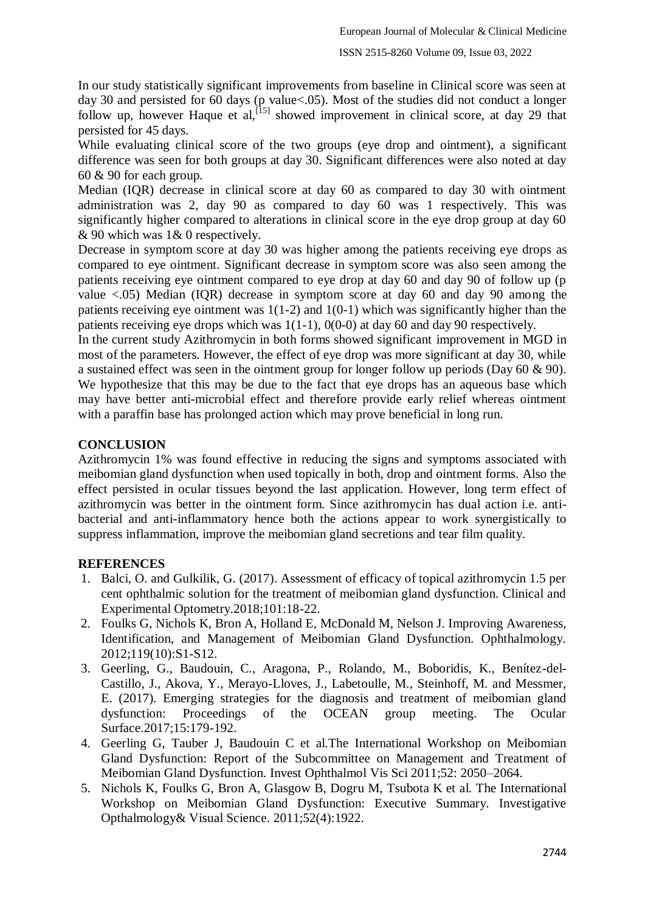In our study statistically significant improvements from baseline in Clinical score was seen at day 30 and persisted for 60 days (p value<.05). Most of the studies did not conduct a longer follow up, however Haque et al,  $[15]$  showed improvement in clinical score, at day 29 that persisted for 45 days.

While evaluating clinical score of the two groups (eye drop and ointment), a significant difference was seen for both groups at day 30. Significant differences were also noted at day 60 & 90 for each group.

Median (IQR) decrease in clinical score at day 60 as compared to day 30 with ointment administration was 2, day 90 as compared to day 60 was 1 respectively. This was significantly higher compared to alterations in clinical score in the eye drop group at day 60 & 90 which was 1& 0 respectively.

Decrease in symptom score at day 30 was higher among the patients receiving eye drops as compared to eye ointment. Significant decrease in symptom score was also seen among the patients receiving eye ointment compared to eye drop at day 60 and day 90 of follow up (p value <.05) Median (IQR) decrease in symptom score at day 60 and day 90 among the patients receiving eye ointment was 1(1-2) and 1(0-1) which was significantly higher than the patients receiving eye drops which was  $1(1-1)$ ,  $0(0-0)$  at day 60 and day 90 respectively.

In the current study Azithromycin in both forms showed significant improvement in MGD in most of the parameters. However, the effect of eye drop was more significant at day 30, while a sustained effect was seen in the ointment group for longer follow up periods (Day 60 & 90). We hypothesize that this may be due to the fact that eye drops has an aqueous base which may have better anti-microbial effect and therefore provide early relief whereas ointment with a paraffin base has prolonged action which may prove beneficial in long run.

#### **CONCLUSION**

Azithromycin 1% was found effective in reducing the signs and symptoms associated with meibomian gland dysfunction when used topically in both, drop and ointment forms. Also the effect persisted in ocular tissues beyond the last application. However, long term effect of azithromycin was better in the ointment form. Since azithromycin has dual action i.e. antibacterial and anti-inflammatory hence both the actions appear to work synergistically to suppress inflammation, improve the meibomian gland secretions and tear film quality.

#### **REFERENCES**

- 1. Balci, O. and Gulkilik, G. (2017). Assessment of efficacy of topical azithromycin 1.5 per cent ophthalmic solution for the treatment of meibomian gland dysfunction. Clinical and Experimental Optometry.2018;101:18-22.
- 2. Foulks G, Nichols K, Bron A, Holland E, McDonald M, Nelson J. Improving Awareness, Identification, and Management of Meibomian Gland Dysfunction. Ophthalmology. 2012;119(10):S1-S12.
- 3. Geerling, G., Baudouin, C., Aragona, P., Rolando, M., Boboridis, K., Benítez-del-Castillo, J., Akova, Y., Merayo-Lloves, J., Labetoulle, M., Steinhoff, M. and Messmer, E. (2017). Emerging strategies for the diagnosis and treatment of meibomian gland dysfunction: Proceedings of the OCEAN group meeting. The Ocular Surface.2017;15:179-192.
- 4. Geerling G, Tauber J, Baudouin C et al.The International Workshop on Meibomian Gland Dysfunction: Report of the Subcommittee on Management and Treatment of Meibomian Gland Dysfunction. Invest Ophthalmol Vis Sci 2011;52: 2050–2064.
- 5. Nichols K, Foulks G, Bron A, Glasgow B, Dogru M, Tsubota K et al. The International Workshop on Meibomian Gland Dysfunction: Executive Summary. Investigative Opthalmology& Visual Science. 2011;52(4):1922.